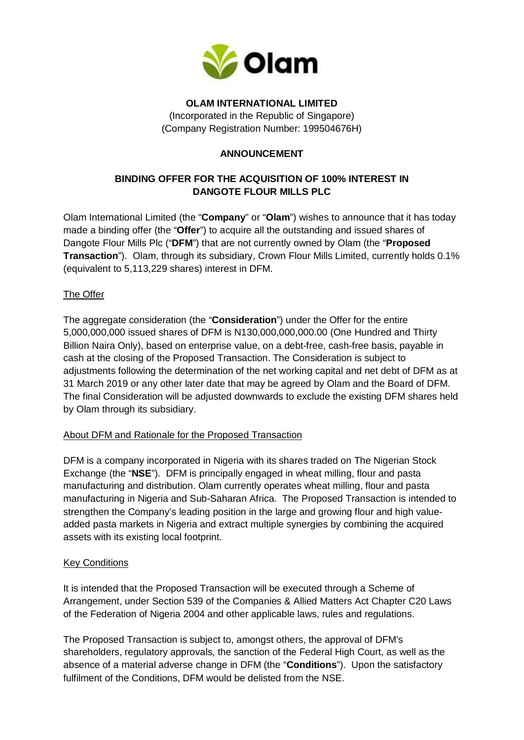

## **OLAM INTERNATIONAL LIMITED**

(Incorporated in the Republic of Singapore) (Company Registration Number: 199504676H)

# **ANNOUNCEMENT**

# **BINDING OFFER FOR THE ACQUISITION OF 100% INTEREST IN DANGOTE FLOUR MILLS PLC**

Olam International Limited (the "**Company**" or "**Olam**") wishes to announce that it has today made a binding offer (the "**Offer**") to acquire all the outstanding and issued shares of Dangote Flour Mills Plc ("**DFM**") that are not currently owned by Olam (the "**Proposed Transaction**"). Olam, through its subsidiary, Crown Flour Mills Limited, currently holds 0.1% (equivalent to 5,113,229 shares) interest in DFM.

## The Offer

The aggregate consideration (the "**Consideration**") under the Offer for the entire 5,000,000,000 issued shares of DFM is N130,000,000,000.00 (One Hundred and Thirty Billion Naira Only), based on enterprise value, on a debt-free, cash-free basis, payable in cash at the closing of the Proposed Transaction. The Consideration is subject to adjustments following the determination of the net working capital and net debt of DFM as at 31 March 2019 or any other later date that may be agreed by Olam and the Board of DFM. The final Consideration will be adjusted downwards to exclude the existing DFM shares held by Olam through its subsidiary.

## About DFM and Rationale for the Proposed Transaction

DFM is a company incorporated in Nigeria with its shares traded on The Nigerian Stock Exchange (the "**NSE**"). DFM is principally engaged in wheat milling, flour and pasta manufacturing and distribution. Olam currently operates wheat milling, flour and pasta manufacturing in Nigeria and Sub-Saharan Africa. The Proposed Transaction is intended to strengthen the Company's leading position in the large and growing flour and high valueadded pasta markets in Nigeria and extract multiple synergies by combining the acquired assets with its existing local footprint.

## Key Conditions

It is intended that the Proposed Transaction will be executed through a Scheme of Arrangement, under Section 539 of the Companies & Allied Matters Act Chapter C20 Laws of the Federation of Nigeria 2004 and other applicable laws, rules and regulations.

The Proposed Transaction is subject to, amongst others, the approval of DFM's shareholders, regulatory approvals, the sanction of the Federal High Court, as well as the absence of a material adverse change in DFM (the "**Conditions**"). Upon the satisfactory fulfilment of the Conditions, DFM would be delisted from the NSE.